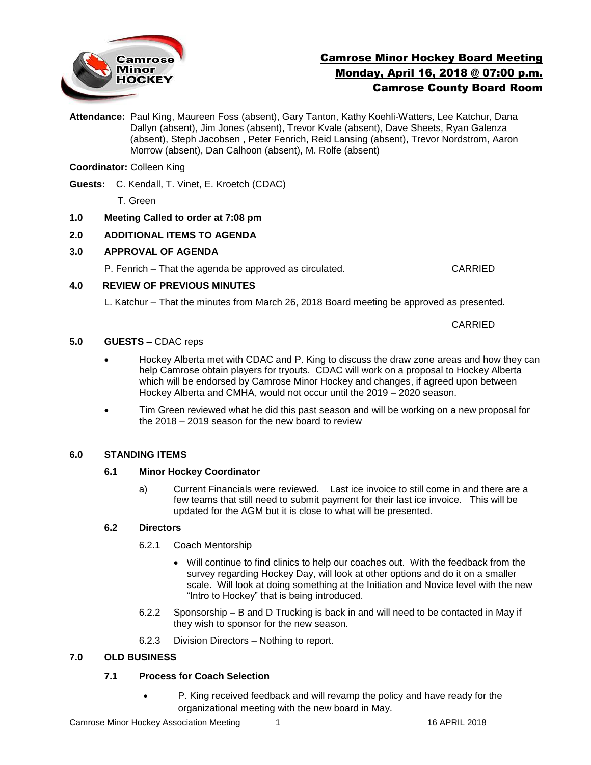

# Camrose Minor Hockey Board Meeting Monday, April 16, 2018 @ 07:00 p.m. Camrose County Board Room

**Attendance:** Paul King, Maureen Foss (absent), Gary Tanton, Kathy Koehli-Watters, Lee Katchur, Dana Dallyn (absent), Jim Jones (absent), Trevor Kvale (absent), Dave Sheets, Ryan Galenza (absent), Steph Jacobsen , Peter Fenrich, Reid Lansing (absent), Trevor Nordstrom, Aaron Morrow (absent), Dan Calhoon (absent), M. Rolfe (absent)

## **Coordinator:** Colleen King

- **Guests:** C. Kendall, T. Vinet, E. Kroetch (CDAC)
	- T. Green
- **1.0 Meeting Called to order at 7:08 pm**

## **2.0 ADDITIONAL ITEMS TO AGENDA**

## **3.0 APPROVAL OF AGENDA**

P. Fenrich – That the agenda be approved as circulated. CARRIED

## **4.0 REVIEW OF PREVIOUS MINUTES**

L. Katchur – That the minutes from March 26, 2018 Board meeting be approved as presented.

CARRIED

## **5.0 GUESTS –** CDAC reps

- Hockey Alberta met with CDAC and P. King to discuss the draw zone areas and how they can help Camrose obtain players for tryouts. CDAC will work on a proposal to Hockey Alberta which will be endorsed by Camrose Minor Hockey and changes, if agreed upon between Hockey Alberta and CMHA, would not occur until the 2019 – 2020 season.
- Tim Green reviewed what he did this past season and will be working on a new proposal for the 2018 – 2019 season for the new board to review

## **6.0 STANDING ITEMS**

## **6.1 Minor Hockey Coordinator**

a) Current Financials were reviewed. Last ice invoice to still come in and there are a few teams that still need to submit payment for their last ice invoice. This will be updated for the AGM but it is close to what will be presented.

## **6.2 Directors**

- 6.2.1 Coach Mentorship
	- Will continue to find clinics to help our coaches out. With the feedback from the survey regarding Hockey Day, will look at other options and do it on a smaller scale. Will look at doing something at the Initiation and Novice level with the new "Intro to Hockey" that is being introduced.
- 6.2.2 Sponsorship B and D Trucking is back in and will need to be contacted in May if they wish to sponsor for the new season.
- 6.2.3 Division Directors Nothing to report.

## **7.0 OLD BUSINESS**

## **7.1 Process for Coach Selection**

 P. King received feedback and will revamp the policy and have ready for the organizational meeting with the new board in May.